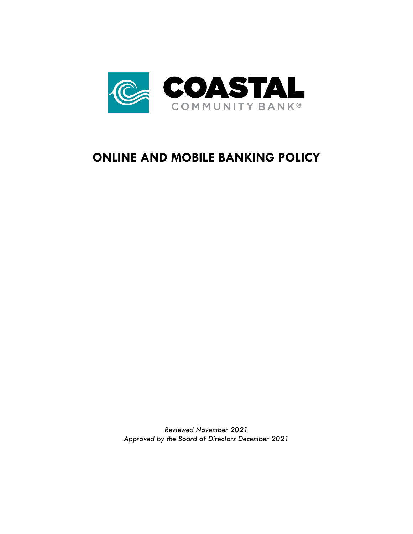

# **ONLINE AND MOBILE BANKING POLICY**

*Reviewed November 2021 Approved by the Board of Directors December 2021*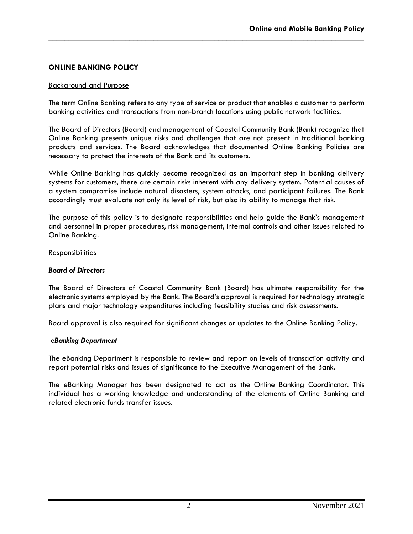# **ONLINE BANKING POLICY**

#### Background and Purpose

The term Online Banking refers to any type of service or product that enables a customer to perform banking activities and transactions from non-branch locations using public network facilities.

**\_\_\_\_\_\_\_\_\_\_\_\_\_\_\_\_\_\_\_\_\_\_\_\_\_\_\_\_\_\_\_\_\_\_\_\_\_\_\_\_\_\_\_\_\_\_\_\_\_\_\_\_\_\_\_\_\_\_\_\_\_\_\_\_\_\_\_\_\_\_\_\_\_\_\_\_\_\_**

The Board of Directors (Board) and management of Coastal Community Bank (Bank) recognize that Online Banking presents unique risks and challenges that are not present in traditional banking products and services. The Board acknowledges that documented Online Banking Policies are necessary to protect the interests of the Bank and its customers.

While Online Banking has quickly become recognized as an important step in banking delivery systems for customers, there are certain risks inherent with any delivery system. Potential causes of a system compromise include natural disasters, system attacks, and participant failures. The Bank accordingly must evaluate not only its level of risk, but also its ability to manage that risk.

The purpose of this policy is to designate responsibilities and help guide the Bank's management and personnel in proper procedures, risk management, internal controls and other issues related to Online Banking.

#### **Responsibilities**

#### *Board of Directors*

The Board of Directors of Coastal Community Bank (Board) has ultimate responsibility for the electronic systems employed by the Bank. The Board's approval is required for technology strategic plans and major technology expenditures including feasibility studies and risk assessments.

Board approval is also required for significant changes or updates to the Online Banking Policy.

#### *eBanking Department*

The eBanking Department is responsible to review and report on levels of transaction activity and report potential risks and issues of significance to the Executive Management of the Bank.

The eBanking Manager has been designated to act as the Online Banking Coordinator. This individual has a working knowledge and understanding of the elements of Online Banking and related electronic funds transfer issues.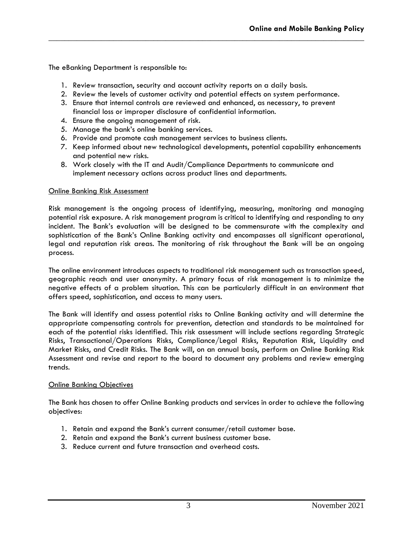The eBanking Department is responsible to:

- 1. Review transaction, security and account activity reports on a daily basis.
- 2. Review the levels of customer activity and potential effects on system performance.

**\_\_\_\_\_\_\_\_\_\_\_\_\_\_\_\_\_\_\_\_\_\_\_\_\_\_\_\_\_\_\_\_\_\_\_\_\_\_\_\_\_\_\_\_\_\_\_\_\_\_\_\_\_\_\_\_\_\_\_\_\_\_\_\_\_\_\_\_\_\_\_\_\_\_\_\_\_\_**

- 3. Ensure that internal controls are reviewed and enhanced, as necessary, to prevent financial loss or improper disclosure of confidential information.
- 4. Ensure the ongoing management of risk.
- 5. Manage the bank's online banking services.
- 6. Provide and promote cash management services to business clients.
- 7. Keep informed about new technological developments, potential capability enhancements and potential new risks.
- 8. Work closely with the IT and Audit/Compliance Departments to communicate and implement necessary actions across product lines and departments.

#### Online Banking Risk Assessment

Risk management is the ongoing process of identifying, measuring, monitoring and managing potential risk exposure. A risk management program is critical to identifying and responding to any incident. The Bank's evaluation will be designed to be commensurate with the complexity and sophistication of the Bank's Online Banking activity and encompasses all significant operational, legal and reputation risk areas. The monitoring of risk throughout the Bank will be an ongoing process.

The online environment introduces aspects to traditional risk management such as transaction speed, geographic reach and user anonymity. A primary focus of risk management is to minimize the negative effects of a problem situation. This can be particularly difficult in an environment that offers speed, sophistication, and access to many users.

The Bank will identify and assess potential risks to Online Banking activity and will determine the appropriate compensating controls for prevention, detection and standards to be maintained for each of the potential risks identified. This risk assessment will include sections regarding Strategic Risks, Transactional/Operations Risks, Compliance/Legal Risks, Reputation Risk, Liquidity and Market Risks, and Credit Risks. The Bank will, on an annual basis, perform an Online Banking Risk Assessment and revise and report to the board to document any problems and review emerging trends.

#### Online Banking Objectives

The Bank has chosen to offer Online Banking products and services in order to achieve the following objectives:

- 1. Retain and expand the Bank's current consumer/retail customer base.
- 2. Retain and expand the Bank's current business customer base.
- 3. Reduce current and future transaction and overhead costs.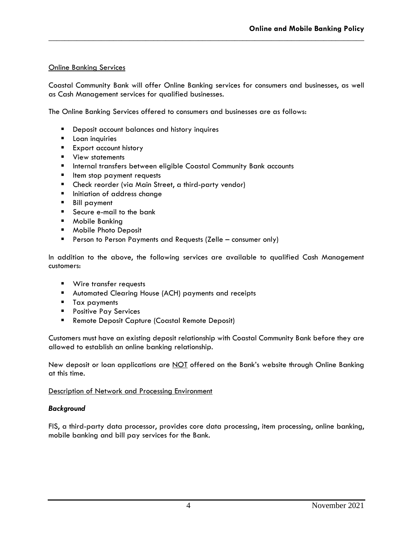## Online Banking Services

Coastal Community Bank will offer Online Banking services for consumers and businesses, as well as Cash Management services for qualified businesses.

**\_\_\_\_\_\_\_\_\_\_\_\_\_\_\_\_\_\_\_\_\_\_\_\_\_\_\_\_\_\_\_\_\_\_\_\_\_\_\_\_\_\_\_\_\_\_\_\_\_\_\_\_\_\_\_\_\_\_\_\_\_\_\_\_\_\_\_\_\_\_\_\_\_\_\_\_\_\_**

The Online Banking Services offered to consumers and businesses are as follows:

- Deposit account balances and history inquires
- Loan inquiries
- Export account history
- View statements
- **E** Internal transfers between eligible Coastal Community Bank accounts
- Item stop payment requests
- Check reorder (via Main Street, a third-party vendor)
- **·** Initiation of address change
- Bill payment
- Secure e-mail to the bank
- Mobile Bankina
- Mobile Photo Deposit
- **E** Person to Person Payments and Requests (Zelle consumer only)

In addition to the above, the following services are available to qualified Cash Management customers:

- Wire transfer requests
- Automated Clearing House (ACH) payments and receipts
- **■** Tax payments
- Positive Pay Services
- Remote Deposit Capture (Coastal Remote Deposit)

Customers must have an existing deposit relationship with Coastal Community Bank before they are allowed to establish an online banking relationship.

New deposit or loan applications are NOT offered on the Bank's website through Online Banking at this time.

Description of Network and Processing Environment

#### *Background*

FIS, a third-party data processor, provides core data processing, item processing, online banking, mobile banking and bill pay services for the Bank.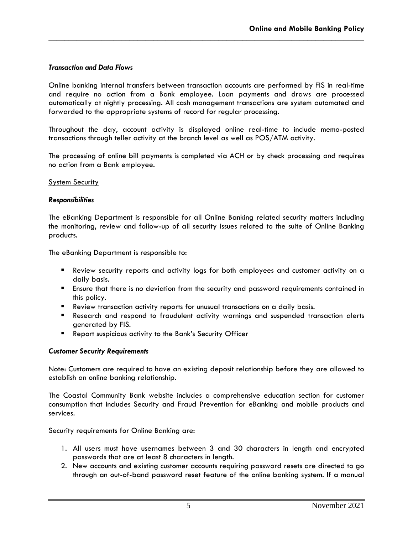## *Transaction and Data Flows*

Online banking internal transfers between transaction accounts are performed by FIS in real-time and require no action from a Bank employee. Loan payments and draws are processed automatically at nightly processing. All cash management transactions are system automated and forwarded to the appropriate systems of record for regular processing.

**\_\_\_\_\_\_\_\_\_\_\_\_\_\_\_\_\_\_\_\_\_\_\_\_\_\_\_\_\_\_\_\_\_\_\_\_\_\_\_\_\_\_\_\_\_\_\_\_\_\_\_\_\_\_\_\_\_\_\_\_\_\_\_\_\_\_\_\_\_\_\_\_\_\_\_\_\_\_**

Throughout the day, account activity is displayed online real-time to include memo-posted transactions through teller activity at the branch level as well as POS/ATM activity.

The processing of online bill payments is completed via ACH or by check processing and requires no action from a Bank employee.

#### System Security

#### *Responsibilities*

The eBanking Department is responsible for all Online Banking related security matters including the monitoring, review and follow-up of all security issues related to the suite of Online Banking products.

The eBanking Department is responsible to:

- Review security reports and activity logs for both employees and customer activity on a daily basis.
- **E** Ensure that there is no deviation from the security and password requirements contained in this policy.
- Review transaction activity reports for unusual transactions on a daily basis.
- **E** Research and respond to fraudulent activity warnings and suspended transaction alerts generated by FIS.
- Report suspicious activity to the Bank's Security Officer

#### *Customer Security Requirements*

Note: Customers are required to have an existing deposit relationship before they are allowed to establish an online banking relationship.

The Coastal Community Bank website includes a comprehensive education section for customer consumption that includes Security and Fraud Prevention for eBanking and mobile products and services.

Security requirements for Online Banking are:

- 1. All users must have usernames between 3 and 30 characters in length and encrypted passwords that are at least 8 characters in length.
- 2. New accounts and existing customer accounts requiring password resets are directed to go through an out-of-band password reset feature of the online banking system. If a manual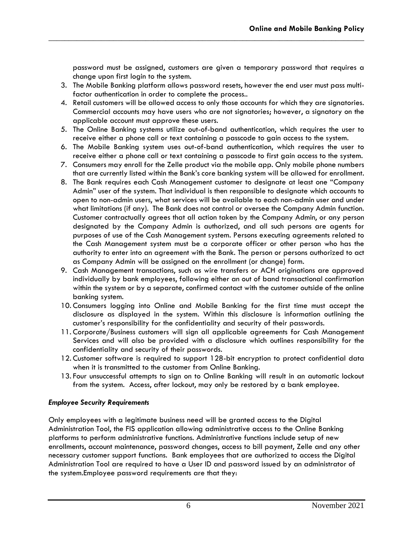password must be assigned, customers are given a temporary password that requires a change upon first login to the system.

3. The Mobile Banking platform allows password resets, however the end user must pass multifactor authentication in order to complete the process..

**\_\_\_\_\_\_\_\_\_\_\_\_\_\_\_\_\_\_\_\_\_\_\_\_\_\_\_\_\_\_\_\_\_\_\_\_\_\_\_\_\_\_\_\_\_\_\_\_\_\_\_\_\_\_\_\_\_\_\_\_\_\_\_\_\_\_\_\_\_\_\_\_\_\_\_\_\_\_**

- 4. Retail customers will be allowed access to only those accounts for which they are signatories. Commercial accounts may have users who are not signatories; however, a signatory on the applicable account must approve these users.
- 5. The Online Banking systems utilize out-of-band authentication, which requires the user to receive either a phone call or text containing a passcode to gain access to the system.
- 6. The Mobile Banking system uses out-of-band authentication, which requires the user to receive either a phone call or text containing a passcode to first gain access to the system.
- 7. Consumers may enroll for the Zelle product via the mobile app. Only mobile phone numbers that are currently listed within the Bank's core banking system will be allowed for enrollment.
- 8. The Bank requires each Cash Management customer to designate at least one "Company Admin" user of the system. That individual is then responsible to designate which accounts to open to non-admin users, what services will be available to each non-admin user and under what limitations (if any). The Bank does not control or oversee the Company Admin function. Customer contractually agrees that all action taken by the Company Admin, or any person designated by the Company Admin is authorized, and all such persons are agents for purposes of use of the Cash Management system. Persons executing agreements related to the Cash Management system must be a corporate officer or other person who has the authority to enter into an agreement with the Bank. The person or persons authorized to act as Company Admin will be assigned on the enrollment (or change) form.
- 9. Cash Management transactions, such as wire transfers or ACH originations are approved individually by bank employees, following either an out of band transactional confirmation within the system or by a separate, confirmed contact with the customer outside of the online banking system.
- 10. Consumers logging into Online and Mobile Banking for the first time must accept the disclosure as displayed in the system. Within this disclosure is information outlining the customer's responsibility for the confidentiality and security of their passwords.
- 11. Corporate/Business customers will sign all applicable agreements for Cash Management Services and will also be provided with a disclosure which outlines responsibility for the confidentiality and security of their passwords.
- 12. Customer software is required to support 128-bit encryption to protect confidential data when it is transmitted to the customer from Online Banking.
- 13. Four unsuccessful attempts to sign on to Online Banking will result in an automatic lockout from the system. Access, after lockout, may only be restored by a bank employee.

## *Employee Security Requirements*

Only employees with a legitimate business need will be granted access to the Digital Administration Tool, the FIS application allowing administrative access to the Online Banking platforms to perform administrative functions. Administrative functions include setup of new enrollments, account maintenance, password changes, access to bill payment, Zelle and any other necessary customer support functions. Bank employees that are authorized to access the Digital Administration Tool are required to have a User ID and password issued by an administrator of the system.Employee password requirements are that they: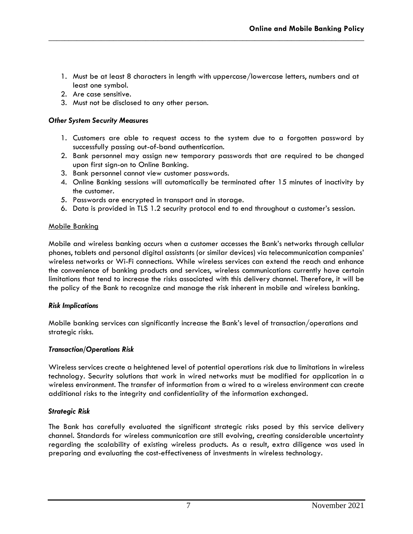1. Must be at least 8 characters in length with uppercase/lowercase letters, numbers and at least one symbol.

**\_\_\_\_\_\_\_\_\_\_\_\_\_\_\_\_\_\_\_\_\_\_\_\_\_\_\_\_\_\_\_\_\_\_\_\_\_\_\_\_\_\_\_\_\_\_\_\_\_\_\_\_\_\_\_\_\_\_\_\_\_\_\_\_\_\_\_\_\_\_\_\_\_\_\_\_\_\_**

- 2. Are case sensitive.
- 3. Must not be disclosed to any other person.

## *Other System Security Measures*

- 1. Customers are able to request access to the system due to a forgotten password by successfully passing out-of-band authentication.
- 2. Bank personnel may assign new temporary passwords that are required to be changed upon first sign-on to Online Banking.
- 3. Bank personnel cannot view customer passwords.
- 4. Online Banking sessions will automatically be terminated after 15 minutes of inactivity by the customer.
- 5. Passwords are encrypted in transport and in storage.
- 6. Data is provided in TLS 1.2 security protocol end to end throughout a customer's session.

## Mobile Banking

Mobile and wireless banking occurs when a customer accesses the Bank's networks through cellular phones, tablets and personal digital assistants (or similar devices) via telecommunication companies' wireless networks or Wi-Fi connections. While wireless services can extend the reach and enhance the convenience of banking products and services, wireless communications currently have certain limitations that tend to increase the risks associated with this delivery channel. Therefore, it will be the policy of the Bank to recognize and manage the risk inherent in mobile and wireless banking.

## *Risk Implications*

Mobile banking services can significantly increase the Bank's level of transaction/operations and strategic risks.

#### *Transaction/Operations Risk*

Wireless services create a heightened level of potential operations risk due to limitations in wireless technology. Security solutions that work in wired networks must be modified for application in a wireless environment. The transfer of information from a wired to a wireless environment can create additional risks to the integrity and confidentiality of the information exchanged.

## *Strategic Risk*

The Bank has carefully evaluated the significant strategic risks posed by this service delivery channel. Standards for wireless communication are still evolving, creating considerable uncertainty regarding the scalability of existing wireless products. As a result, extra diligence was used in preparing and evaluating the cost-effectiveness of investments in wireless technology.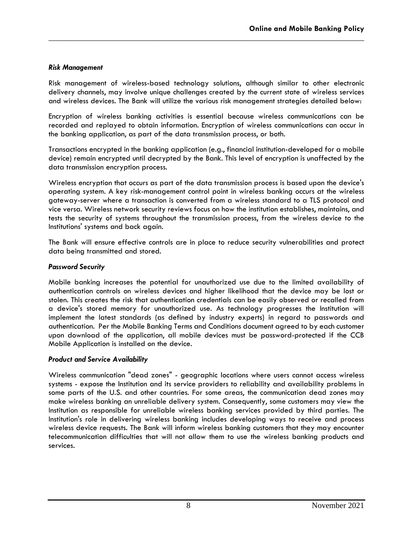## *Risk Management*

Risk management of wireless-based technology solutions, although similar to other electronic delivery channels, may involve unique challenges created by the current state of wireless services and wireless devices. The Bank will utilize the various risk management strategies detailed below:

**\_\_\_\_\_\_\_\_\_\_\_\_\_\_\_\_\_\_\_\_\_\_\_\_\_\_\_\_\_\_\_\_\_\_\_\_\_\_\_\_\_\_\_\_\_\_\_\_\_\_\_\_\_\_\_\_\_\_\_\_\_\_\_\_\_\_\_\_\_\_\_\_\_\_\_\_\_\_**

Encryption of wireless banking activities is essential because wireless communications can be recorded and replayed to obtain information. Encryption of wireless communications can occur in the banking application, as part of the data transmission process, or both.

Transactions encrypted in the banking application (e.g., financial institution-developed for a mobile device) remain encrypted until decrypted by the Bank. This level of encryption is unaffected by the data transmission encryption process.

Wireless encryption that occurs as part of the data transmission process is based upon the device's operating system. A key risk-management control point in wireless banking occurs at the wireless gateway-server where a transaction is converted from a wireless standard to a TLS protocol and vice versa. Wireless network security reviews focus on how the institution establishes, maintains, and tests the security of systems throughout the transmission process, from the wireless device to the Institutions' systems and back again.

The Bank will ensure effective controls are in place to reduce security vulnerabilities and protect data being transmitted and stored.

#### *Password Security*

Mobile banking increases the potential for unauthorized use due to the limited availability of authentication controls on wireless devices and higher likelihood that the device may be lost or stolen. This creates the risk that authentication credentials can be easily observed or recalled from a device's stored memory for unauthorized use. As technology progresses the Institution will implement the latest standards (as defined by industry experts) in regard to passwords and authentication. Per the Mobile Banking Terms and Conditions document agreed to by each customer upon download of the application, all mobile devices must be password-protected if the CCB Mobile Application is installed on the device.

## *Product and Service Availability*

Wireless communication "dead zones" - geographic locations where users cannot access wireless systems - expose the Institution and its service providers to reliability and availability problems in some parts of the U.S. and other countries. For some areas, the communication dead zones may make wireless banking an unreliable delivery system. Consequently, some customers may view the Institution as responsible for unreliable wireless banking services provided by third parties. The Institution's role in delivering wireless banking includes developing ways to receive and process wireless device requests. The Bank will inform wireless banking customers that they may encounter telecommunication difficulties that will not allow them to use the wireless banking products and services.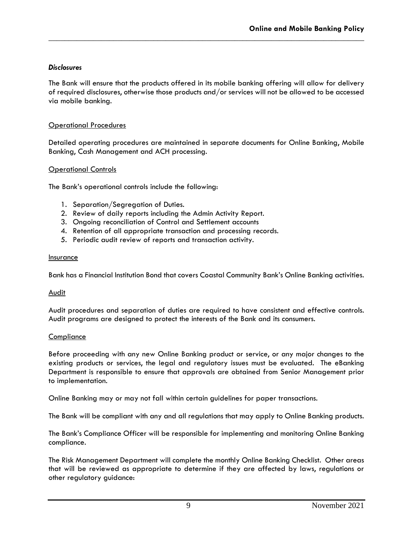# *Disclosures*

The Bank will ensure that the products offered in its mobile banking offering will allow for delivery of required disclosures, otherwise those products and/or services will not be allowed to be accessed via mobile banking.

**\_\_\_\_\_\_\_\_\_\_\_\_\_\_\_\_\_\_\_\_\_\_\_\_\_\_\_\_\_\_\_\_\_\_\_\_\_\_\_\_\_\_\_\_\_\_\_\_\_\_\_\_\_\_\_\_\_\_\_\_\_\_\_\_\_\_\_\_\_\_\_\_\_\_\_\_\_\_**

## Operational Procedures

Detailed operating procedures are maintained in separate documents for Online Banking, Mobile Banking, Cash Management and ACH processing.

#### Operational Controls

The Bank's operational controls include the following:

- 1. Separation/Segregation of Duties.
- 2. Review of daily reports including the Admin Activity Report.
- 3. Ongoing reconciliation of Control and Settlement accounts
- 4. Retention of all appropriate transaction and processing records.
- 5. Periodic audit review of reports and transaction activity.

#### Insurance

Bank has a Financial Institution Bond that covers Coastal Community Bank's Online Banking activities.

#### Audit

Audit procedures and separation of duties are required to have consistent and effective controls. Audit programs are designed to protect the interests of the Bank and its consumers.

#### **Compliance**

Before proceeding with any new Online Banking product or service, or any major changes to the existing products or services, the legal and regulatory issues must be evaluated. The eBanking Department is responsible to ensure that approvals are obtained from Senior Management prior to implementation.

Online Banking may or may not fall within certain guidelines for paper transactions.

The Bank will be compliant with any and all regulations that may apply to Online Banking products.

The Bank's Compliance Officer will be responsible for implementing and monitoring Online Banking compliance.

The Risk Management Department will complete the monthly Online Banking Checklist. Other areas that will be reviewed as appropriate to determine if they are affected by laws, regulations or other regulatory guidance: